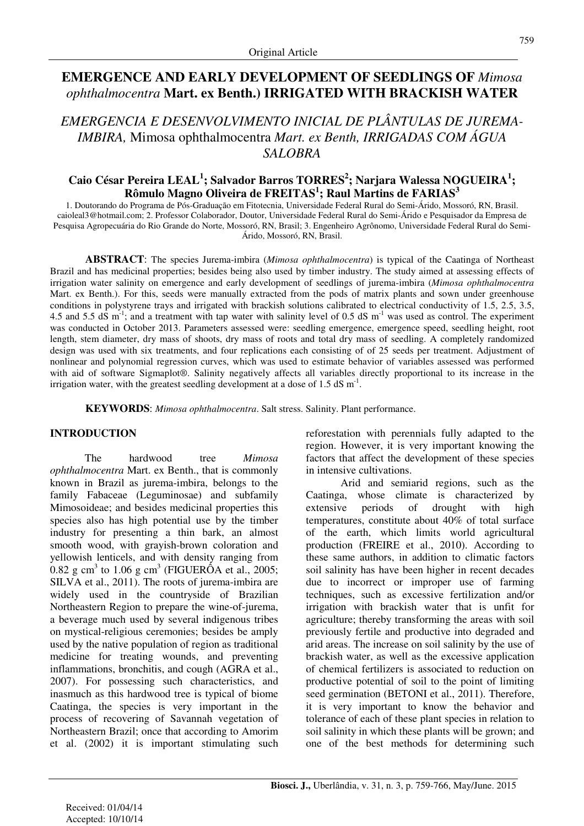# **EMERGENCE AND EARLY DEVELOPMENT OF SEEDLINGS OF** *Mimosa ophthalmocentra* **Mart. ex Benth.) IRRIGATED WITH BRACKISH WATER**

*EMERGENCIA E DESENVOLVIMENTO INICIAL DE PLÂNTULAS DE JUREMA-IMBIRA,* Mimosa ophthalmocentra *Mart. ex Benth, IRRIGADAS COM ÁGUA SALOBRA* 

# **Caio César Pereira LEAL<sup>1</sup> ; Salvador Barros TORRES<sup>2</sup> ; Narjara Walessa NOGUEIRA<sup>1</sup> ; Rômulo Magno Oliveira de FREITAS<sup>1</sup> ; Raul Martins de FARIAS<sup>3</sup>**

1. Doutorando do Programa de Pós-Graduação em Fitotecnia, Universidade Federal Rural do Semi-Árido, Mossoró, RN, Brasil. caioleal3@hotmail.com; 2. Professor Colaborador, Doutor, Universidade Federal Rural do Semi-Árido e Pesquisador da Empresa de Pesquisa Agropecuária do Rio Grande do Norte, Mossoró, RN, Brasil; 3. Engenheiro Agrônomo, Universidade Federal Rural do Semi-Árido, Mossoró, RN, Brasil.

**ABSTRACT**: The species Jurema-imbira (*Mimosa ophthalmocentra*) is typical of the Caatinga of Northeast Brazil and has medicinal properties; besides being also used by timber industry. The study aimed at assessing effects of irrigation water salinity on emergence and early development of seedlings of jurema-imbira (*Mimosa ophthalmocentra* Mart. ex Benth.). For this, seeds were manually extracted from the pods of matrix plants and sown under greenhouse conditions in polystyrene trays and irrigated with brackish solutions calibrated to electrical conductivity of 1.5, 2.5, 3.5, 4.5 and 5.5 dS  $m^{-1}$ ; and a treatment with tap water with salinity level of 0.5 dS  $m^{-1}$  was used as control. The experiment was conducted in October 2013. Parameters assessed were: seedling emergence, emergence speed, seedling height, root length, stem diameter, dry mass of shoots, dry mass of roots and total dry mass of seedling. A completely randomized design was used with six treatments, and four replications each consisting of of 25 seeds per treatment. Adjustment of nonlinear and polynomial regression curves, which was used to estimate behavior of variables assessed was performed with aid of software Sigmaplot®. Salinity negatively affects all variables directly proportional to its increase in the irrigation water, with the greatest seedling development at a dose of 1.5  $dS$  m<sup>-1</sup>.

**KEYWORDS**: *Mimosa ophthalmocentra*. Salt stress. Salinity. Plant performance.

## **INTRODUCTION**

The hardwood tree *Mimosa ophthalmocentra* Mart. ex Benth., that is commonly known in Brazil as jurema-imbira, belongs to the family Fabaceae (Leguminosae) and subfamily Mimosoideae; and besides medicinal properties this species also has high potential use by the timber industry for presenting a thin bark, an almost smooth wood, with grayish-brown coloration and yellowish lenticels, and with density ranging from  $0.82$  g cm<sup>3</sup> to 1.06 g cm<sup>3</sup> (FIGUERÔA et al., 2005; SILVA et al., 2011). The roots of jurema-imbira are widely used in the countryside of Brazilian Northeastern Region to prepare the wine-of-jurema, a beverage much used by several indigenous tribes on mystical-religious ceremonies; besides be amply used by the native population of region as traditional medicine for treating wounds, and preventing inflammations, bronchitis, and cough (AGRA et al., 2007). For possessing such characteristics, and inasmuch as this hardwood tree is typical of biome Caatinga, the species is very important in the process of recovering of Savannah vegetation of Northeastern Brazil; once that according to Amorim et al. (2002) it is important stimulating such

reforestation with perennials fully adapted to the region. However, it is very important knowing the factors that affect the development of these species in intensive cultivations.

Arid and semiarid regions, such as the Caatinga, whose climate is characterized by extensive periods of drought with high temperatures, constitute about 40% of total surface of the earth, which limits world agricultural production (FREIRE et al., 2010). According to these same authors, in addition to climatic factors soil salinity has have been higher in recent decades due to incorrect or improper use of farming techniques, such as excessive fertilization and/or irrigation with brackish water that is unfit for agriculture; thereby transforming the areas with soil previously fertile and productive into degraded and arid areas. The increase on soil salinity by the use of brackish water, as well as the excessive application of chemical fertilizers is associated to reduction on productive potential of soil to the point of limiting seed germination (BETONI et al., 2011). Therefore, it is very important to know the behavior and tolerance of each of these plant species in relation to soil salinity in which these plants will be grown; and one of the best methods for determining such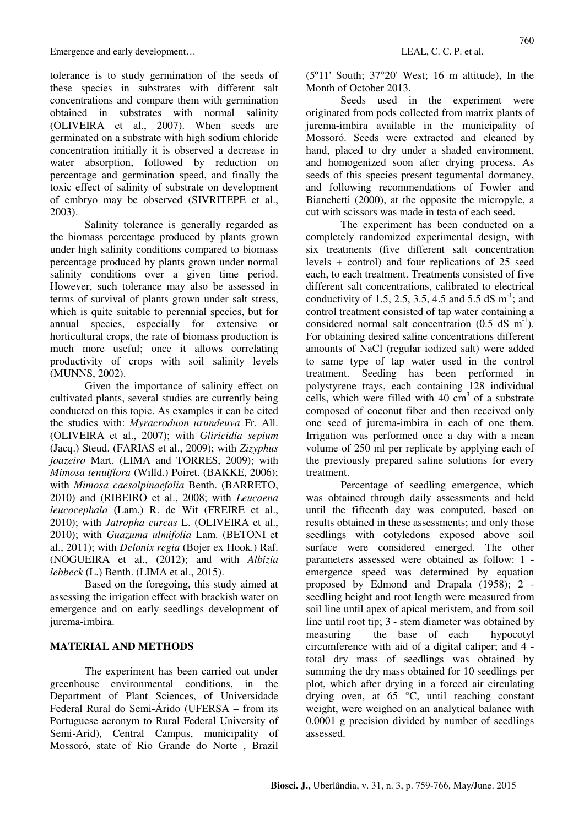Emergence and early development... LEAL, C. C. P. et al.

tolerance is to study germination of the seeds of these species in substrates with different salt concentrations and compare them with germination obtained in substrates with normal salinity (OLIVEIRA et al., 2007). When seeds are germinated on a substrate with high sodium chloride concentration initially it is observed a decrease in water absorption, followed by reduction on percentage and germination speed, and finally the toxic effect of salinity of substrate on development of embryo may be observed (SIVRITEPE et al., 2003).

Salinity tolerance is generally regarded as the biomass percentage produced by plants grown under high salinity conditions compared to biomass percentage produced by plants grown under normal salinity conditions over a given time period. However, such tolerance may also be assessed in terms of survival of plants grown under salt stress, which is quite suitable to perennial species, but for annual species, especially for extensive or horticultural crops, the rate of biomass production is much more useful; once it allows correlating productivity of crops with soil salinity levels (MUNNS, 2002).

Given the importance of salinity effect on cultivated plants, several studies are currently being conducted on this topic. As examples it can be cited the studies with: *Myracroduon urundeuva* Fr. All. (OLIVEIRA et al., 2007); with *Gliricidia sepium* (Jacq.) Steud. (FARIAS et al., 2009); with *Zizyphus joazeiro* Mart. (LIMA and TORRES, 2009); with *Mimosa tenuiflora* (Willd.) Poiret. (BAKKE, 2006); with *Mimosa caesalpinaefolia* Benth. (BARRETO, 2010) and (RIBEIRO et al., 2008; with *Leucaena leucocephala* (Lam.) R. de Wit (FREIRE et al., 2010); with *Jatropha curcas* L. (OLIVEIRA et al., 2010); with *Guazuma ulmifolia* Lam. (BETONI et al., 2011); with *Delonix regia* (Bojer ex Hook.) Raf. (NOGUEIRA et al., (2012); and with *Albizia lebbeck* (L.) Benth. (LIMA et al., 2015).

Based on the foregoing, this study aimed at assessing the irrigation effect with brackish water on emergence and on early seedlings development of jurema-imbira.

# **MATERIAL AND METHODS**

The experiment has been carried out under greenhouse environmental conditions, in the Department of Plant Sciences, of Universidade Federal Rural do Semi-Árido (UFERSA – from its Portuguese acronym to Rural Federal University of Semi-Arid), Central Campus, municipality of Mossoró, state of Rio Grande do Norte , Brazil (5º11' South; 37°20' West; 16 m altitude), In the Month of October 2013.

Seeds used in the experiment were originated from pods collected from matrix plants of jurema-imbira available in the municipality of Mossoró. Seeds were extracted and cleaned by hand, placed to dry under a shaded environment, and homogenized soon after drying process. As seeds of this species present tegumental dormancy, and following recommendations of Fowler and Bianchetti (2000), at the opposite the micropyle, a cut with scissors was made in testa of each seed.

The experiment has been conducted on a completely randomized experimental design, with six treatments (five different salt concentration levels + control) and four replications of 25 seed each, to each treatment. Treatments consisted of five different salt concentrations, calibrated to electrical conductivity of 1.5, 2.5, 3.5, 4.5 and 5.5 dS  $m^{-1}$ ; and control treatment consisted of tap water containing a considered normal salt concentration  $(0.5 \text{ dS m}^{-1})$ . For obtaining desired saline concentrations different amounts of NaCl (regular iodized salt) were added to same type of tap water used in the control treatment. Seeding has been performed in polystyrene trays, each containing 128 individual cells, which were filled with  $40 \text{ cm}^3$  of a substrate composed of coconut fiber and then received only one seed of jurema-imbira in each of one them. Irrigation was performed once a day with a mean volume of 250 ml per replicate by applying each of the previously prepared saline solutions for every treatment.

Percentage of seedling emergence, which was obtained through daily assessments and held until the fifteenth day was computed, based on results obtained in these assessments; and only those seedlings with cotyledons exposed above soil surface were considered emerged. The other parameters assessed were obtained as follow: 1 emergence speed was determined by equation proposed by Edmond and Drapala (1958); 2 seedling height and root length were measured from soil line until apex of apical meristem, and from soil line until root tip; 3 - stem diameter was obtained by measuring the base of each hypocotyl circumference with aid of a digital caliper; and 4 total dry mass of seedlings was obtained by summing the dry mass obtained for 10 seedlings per plot, which after drying in a forced air circulating drying oven, at 65 °C, until reaching constant weight, were weighed on an analytical balance with 0.0001 g precision divided by number of seedlings assessed.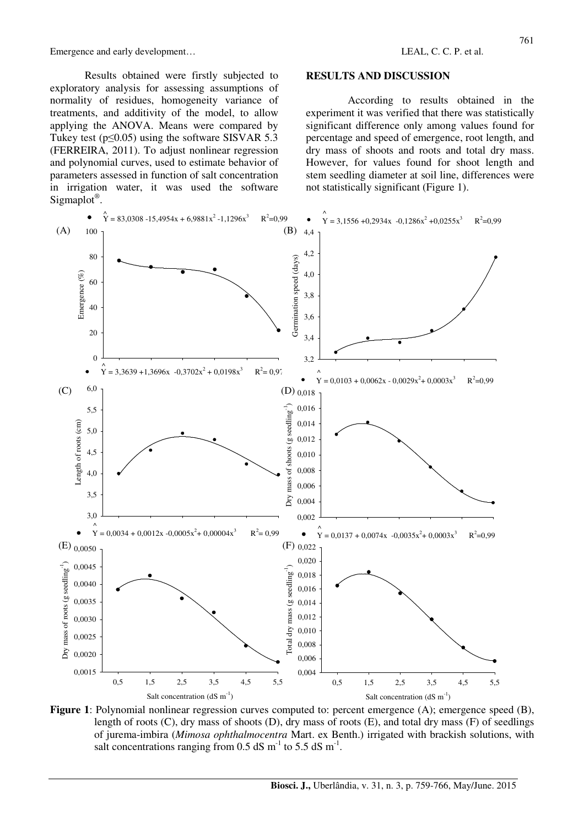Emergence and early development… LEAL, C. C. P. et al.

Results obtained were firstly subjected to exploratory analysis for assessing assumptions of normality of residues, homogeneity variance of treatments, and additivity of the model, to allow applying the ANOVA. Means were compared by Tukey test ( $p \le 0.05$ ) using the software SISVAR 5.3 (FERREIRA, 2011). To adjust nonlinear regression and polynomial curves, used to estimate behavior of parameters assessed in function of salt concentration in irrigation water, it was used the software Sigmaplot<sup>®</sup>.

#### **RESULTS AND DISCUSSION**

According to results obtained in the experiment it was verified that there was statistically significant difference only among values found for percentage and speed of emergence, root length, and dry mass of shoots and roots and total dry mass. However, for values found for shoot length and stem seedling diameter at soil line, differences were not statistically significant (Figure 1).



**Figure 1**: Polynomial nonlinear regression curves computed to: percent emergence (A); emergence speed (B), length of roots (C), dry mass of shoots (D), dry mass of roots (E), and total dry mass (F) of seedlings of jurema-imbira (*Mimosa ophthalmocentra* Mart. ex Benth.) irrigated with brackish solutions, with salt concentrations ranging from 0.5 dS  $m^{-1}$  to 5.5 dS  $m^{-1}$ .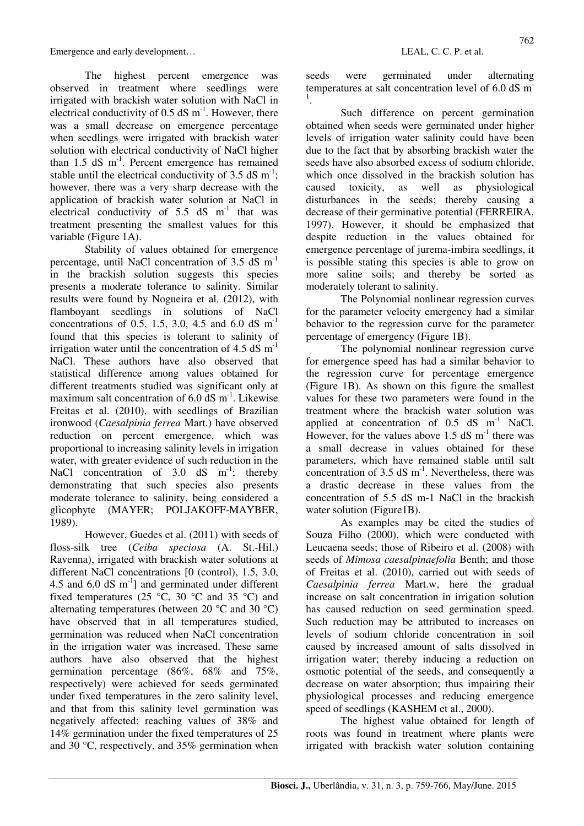Emergence and early development…  $LEAL$ , C. C. P. et al.

The highest percent emergence was observed in treatment where seedlings were irrigated with brackish water solution with NaCl in electrical conductivity of  $0.5$  dS m<sup>-1</sup>. However, there was a small decrease on emergence percentage when seedlings were irrigated with brackish water solution with electrical conductivity of NaCl higher than  $1.5$  dS m<sup>-1</sup>. Percent emergence has remained stable until the electrical conductivity of 3.5 dS  $m^{-1}$ ; however, there was a very sharp decrease with the application of brackish water solution at NaCl in electrical conductivity of  $5.5$  dS m<sup>-1</sup> that was treatment presenting the smallest values for this variable (Figure 1A).

Stability of values obtained for emergence percentage, until NaCl concentration of  $3.5 \text{ dS m}^{-1}$ in the brackish solution suggests this species presents a moderate tolerance to salinity. Similar results were found by Nogueira et al. (2012), with flamboyant seedlings in solutions of NaCl concentrations of 0.5, 1.5, 3.0, 4.5 and 6.0 dS  $m^{-1}$ found that this species is tolerant to salinity of irrigation water until the concentration of 4.5  $dS$  m<sup>-1</sup> NaCl. These authors have also observed that statistical difference among values obtained for different treatments studied was significant only at maximum salt concentration of  $6.0$  dS m<sup>-1</sup>. Likewise Freitas et al. (2010), with seedlings of Brazilian ironwood (*Caesalpinia ferrea* Mart.) have observed reduction on percent emergence, which was proportional to increasing salinity levels in irrigation water, with greater evidence of such reduction in the NaCl concentration of  $3.0$  dS m<sup>-1</sup>; thereby demonstrating that such species also presents moderate tolerance to salinity, being considered a glicophyte (MAYER; POLJAKOFF-MAYBER, 1989).

However, Guedes et al. (2011) with seeds of floss-silk tree (*Ceiba speciosa* (A. St.-Hil.) Ravenna), irrigated with brackish water solutions at different NaCl concentrations [0 (control), 1.5, 3.0, 4.5 and 6.0  $dS$  m<sup>-1</sup>] and germinated under different fixed temperatures (25  $\degree$ C, 30  $\degree$ C and 35  $\degree$ C) and alternating temperatures (between 20 °C and 30 °C) have observed that in all temperatures studied, germination was reduced when NaCl concentration in the irrigation water was increased. These same authors have also observed that the highest germination percentage (86%, 68% and 75%, respectively) were achieved for seeds germinated under fixed temperatures in the zero salinity level, and that from this salinity level germination was negatively affected; reaching values of 38% and 14% germination under the fixed temperatures of 25 and 30 °C, respectively, and 35% germination when seeds were germinated under alternating temperatures at salt concentration level of 6.0 dS m 1 .

Such difference on percent germination obtained when seeds were germinated under higher levels of irrigation water salinity could have been due to the fact that by absorbing brackish water the seeds have also absorbed excess of sodium chloride, which once dissolved in the brackish solution has caused toxicity, as well as physiological disturbances in the seeds; thereby causing a decrease of their germinative potential (FERREIRA, 1997). However, it should be emphasized that despite reduction in the values obtained for emergence percentage of jurema-imbira seedlings, it is possible stating this species is able to grow on more saline soils; and thereby be sorted as moderately tolerant to salinity.

The Polynomial nonlinear regression curves for the parameter velocity emergency had a similar behavior to the regression curve for the parameter percentage of emergency (Figure 1B).

The polynomial nonlinear regression curve for emergence speed has had a similar behavior to the regression curve for percentage emergence (Figure 1B). As shown on this figure the smallest values for these two parameters were found in the treatment where the brackish water solution was applied at concentration of  $0.5$  dS  $m^{-1}$  NaCl. However, for the values above 1.5  $dS$  m<sup>-1</sup> there was a small decrease in values obtained for these parameters, which have remained stable until salt concentration of  $3.5$  dS m<sup>-1</sup>. Nevertheless, there was a drastic decrease in these values from the concentration of 5.5 dS m-1 NaCl in the brackish water solution (Figure1B).

As examples may be cited the studies of Souza Filho (2000), which were conducted with Leucaena seeds; those of Ribeiro et al. (2008) with seeds of *Mimosa caesalpinaefolia* Benth; and those of Freitas et al. (2010), carried out with seeds of *Caesalpinia ferrea* Mart.w, here the gradual increase on salt concentration in irrigation solution has caused reduction on seed germination speed. Such reduction may be attributed to increases on levels of sodium chloride concentration in soil caused by increased amount of salts dissolved in irrigation water; thereby inducing a reduction on osmotic potential of the seeds, and consequently a decrease on water absorption; thus impairing their physiological processes and reducing emergence speed of seedlings (KASHEM et al., 2000).

The highest value obtained for length of roots was found in treatment where plants were irrigated with brackish water solution containing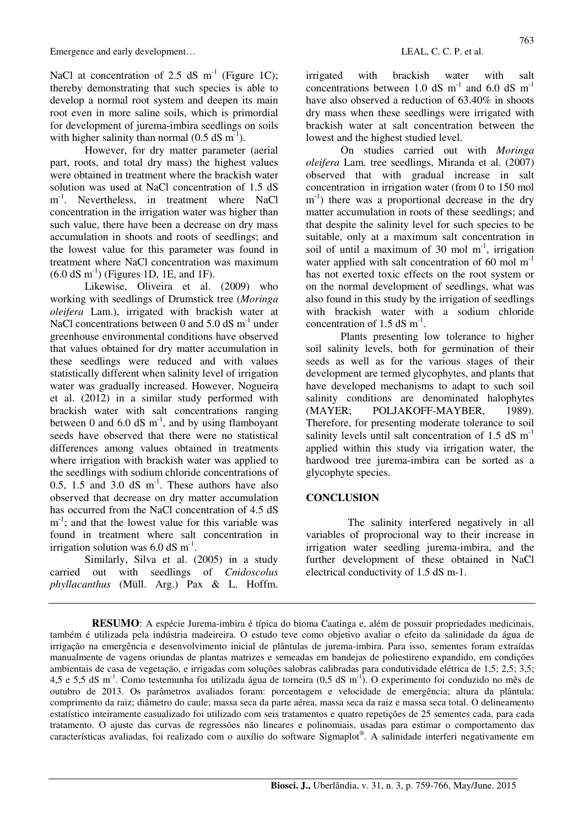NaCl at concentration of 2.5 dS  $m^{-1}$  (Figure 1C); thereby demonstrating that such species is able to develop a normal root system and deepen its main root even in more saline soils, which is primordial for development of jurema-imbira seedlings on soils with higher salinity than normal  $(0.5 \text{ dS m}^{-1})$ .

However, for dry matter parameter (aerial part, roots, and total dry mass) the highest values were obtained in treatment where the brackish water solution was used at NaCl concentration of 1.5 dS m<sup>-1</sup>. Nevertheless, in treatment where NaCl concentration in the irrigation water was higher than such value, there have been a decrease on dry mass accumulation in shoots and roots of seedlings; and the lowest value for this parameter was found in treatment where NaCl concentration was maximum  $(6.0 \text{ dS m}^{-1})$  (Figures 1D, 1E, and 1F).

Likewise, Oliveira et al. (2009) who working with seedlings of Drumstick tree (*Moringa oleifera* Lam.), irrigated with brackish water at NaCl concentrations between 0 and  $5.0$  dS m<sup>-1</sup> under greenhouse environmental conditions have observed that values obtained for dry matter accumulation in these seedlings were reduced and with values statistically different when salinity level of irrigation water was gradually increased. However, Nogueira et al. (2012) in a similar study performed with brackish water with salt concentrations ranging between 0 and 6.0 dS  $m^{-1}$ , and by using flamboyant seeds have observed that there were no statistical differences among values obtained in treatments where irrigation with brackish water was applied to the seedlings with sodium chloride concentrations of 0.5, 1.5 and 3.0 dS  $\text{m}^{-1}$ . These authors have also observed that decrease on dry matter accumulation has occurred from the NaCl concentration of 4.5 dS m<sup>-1</sup>; and that the lowest value for this variable was found in treatment where salt concentration in irrigation solution was  $6.0$  dS m<sup>-1</sup>.

Similarly, Silva et al. (2005) in a study carried out with seedlings of *Cnidoscolus phyllacanthus* (Müll. Arg.) Pax & L. Hoffm. irrigated with brackish water with salt concentrations between 1.0 dS  $m^{-1}$  and 6.0 dS  $m^{-1}$ have also observed a reduction of 63.40% in shoots dry mass when these seedlings were irrigated with brackish water at salt concentration between the lowest and the highest studied level.

On studies carried out with *Moringa oleifera* Lam. tree seedlings, Miranda et al. (2007) observed that with gradual increase in salt concentration in irrigation water (from 0 to 150 mol m<sup>-1</sup>) there was a proportional decrease in the dry matter accumulation in roots of these seedlings; and that despite the salinity level for such species to be suitable, only at a maximum salt concentration in soil of until a maximum of 30 mol  $m^{-1}$ , irrigation water applied with salt concentration of 60 mol  $m^{-1}$ has not exerted toxic effects on the root system or on the normal development of seedlings, what was also found in this study by the irrigation of seedlings with brackish water with a sodium chloride concentration of 1.5 dS  $m^{-1}$ .

Plants presenting low tolerance to higher soil salinity levels, both for germination of their seeds as well as for the various stages of their development are termed glycophytes, and plants that have developed mechanisms to adapt to such soil salinity conditions are denominated halophytes (MAYER; POLJAKOFF-MAYBER, 1989). Therefore, for presenting moderate tolerance to soil salinity levels until salt concentration of  $1.5 \text{ dS m}^{-1}$ applied within this study via irrigation water, the hardwood tree jurema-imbira can be sorted as a glycophyte species.

## **CONCLUSION**

The salinity interfered negatively in all variables of proprocional way to their increase in irrigation water seedling jurema-imbira, and the further development of these obtained in NaCl electrical conductivity of 1.5 dS m-1.

**RESUMO**: A espécie Jurema-imbira é típica do bioma Caatinga e, além de possuir propriedades medicinais, também é utilizada pela indústria madeireira. O estudo teve como objetivo avaliar o efeito da salinidade da água de irrigação na emergência e desenvolvimento inicial de plântulas de jurema-imbira. Para isso, sementes foram extraídas manualmente de vagens oriundas de plantas matrizes e semeadas em bandejas de poliestireno expandido, em condições ambientais de casa de vegetação, e irrigadas com soluções salobras calibradas para condutividade elétrica de 1,5; 2,5; 3,5; 4,5 e 5,5 dS m<sup>-1</sup>. Como testemunha foi utilizada água de torneira  $(0.5 \text{ dS m}^{-1})$ . O experimento foi conduzido no mês de outubro de 2013. Os parâmetros avaliados foram: porcentagem e velocidade de emergência; altura da plântula; comprimento da raiz; diâmetro do caule; massa seca da parte aérea, massa seca da raiz e massa seca total. O delineamento estatístico inteiramente casualizado foi utilizado com seis tratamentos e quatro repetições de 25 sementes cada, para cada tratamento. O ajuste das curvas de regressões não lineares e polinomiais, usadas para estimar o comportamento das características avaliadas, foi realizado com o auxílio do software Sigmaplot® . A salinidade interferi negativamente em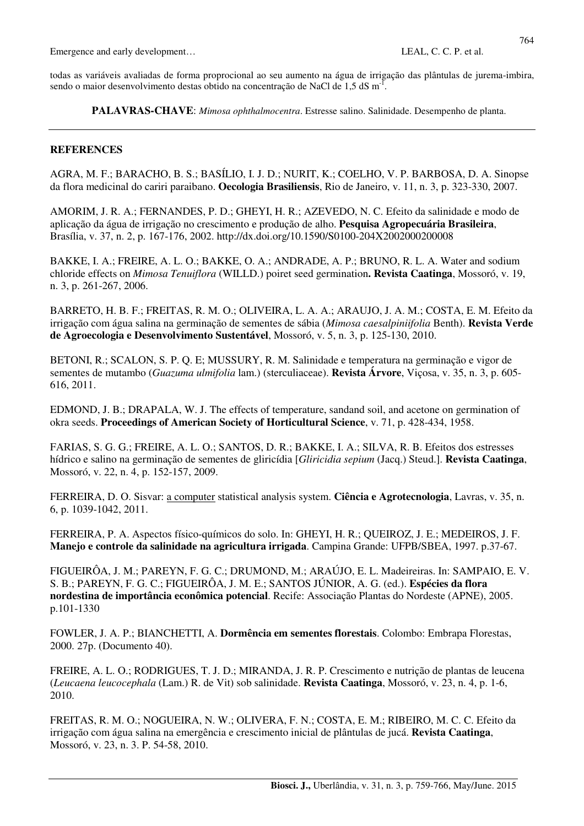Emergence and early development... LEAL, C. C. P. et al.

todas as variáveis avaliadas de forma proprocional ao seu aumento na água de irrigação das plântulas de jurema-imbira, sendo o maior desenvolvimento destas obtido na concentração de NaCl de 1,5 dS m<sup>-1</sup>.

**PALAVRAS-CHAVE**: *Mimosa ophthalmocentra*. Estresse salino. Salinidade. Desempenho de planta.

## **REFERENCES**

AGRA, M. F.; BARACHO, B. S.; BASÍLIO, I. J. D.; NURIT, K.; COELHO, V. P. BARBOSA, D. A. Sinopse da flora medicinal do cariri paraibano. **Oecologia Brasiliensis**, Rio de Janeiro, v. 11, n. 3, p. 323-330, 2007.

AMORIM, J. R. A.; FERNANDES, P. D.; GHEYI, H. R.; AZEVEDO, N. C. Efeito da salinidade e modo de aplicação da água de irrigação no crescimento e produção de alho. **Pesquisa Agropecuária Brasileira**, Brasília, v. 37, n. 2, p. 167-176, 2002. http://dx.doi.org/10.1590/S0100-204X2002000200008

BAKKE, I. A.; FREIRE, A. L. O.; BAKKE, O. A.; ANDRADE, A. P.; BRUNO, R. L. A. Water and sodium chloride effects on *Mimosa Tenuiflora* (WILLD.) poiret seed germination**. Revista Caatinga**, Mossoró, v. 19, n. 3, p. 261-267, 2006.

BARRETO, H. B. F.; FREITAS, R. M. O.; OLIVEIRA, L. A. A.; ARAUJO, J. A. M.; COSTA, E. M. Efeito da irrigação com água salina na germinação de sementes de sábia (*Mimosa caesalpiniifolia* Benth). **Revista Verde de Agroecologia e Desenvolvimento Sustentável**, Mossoró, v. 5, n. 3, p. 125-130, 2010.

BETONI, R.; SCALON, S. P. Q. E; MUSSURY, R. M. Salinidade e temperatura na germinação e vigor de sementes de mutambo (*Guazuma ulmifolia* lam.) (sterculiaceae). **Revista Árvore**, Viçosa, v. 35, n. 3, p. 605- 616, 2011.

EDMOND, J. B.; DRAPALA, W. J. The effects of temperature, sandand soil, and acetone on germination of okra seeds. **Proceedings of American Society of Horticultural Science**, v. 71, p. 428-434, 1958.

FARIAS, S. G. G.; FREIRE, A. L. O.; SANTOS, D. R.; BAKKE, I. A.; SILVA, R. B. Efeitos dos estresses hídrico e salino na germinação de sementes de gliricídia [*Gliricidia sepium* (Jacq.) Steud.]. **Revista Caatinga**, Mossoró, v. 22, n. 4, p. 152-157, 2009.

FERREIRA, D. O. Sisvar: a computer statistical analysis system. **Ciência e Agrotecnologia**, Lavras, v. 35, n. 6, p. 1039-1042, 2011.

FERREIRA, P. A. Aspectos físico-químicos do solo. In: GHEYI, H. R.; QUEIROZ, J. E.; MEDEIROS, J. F. **Manejo e controle da salinidade na agricultura irrigada**. Campina Grande: UFPB/SBEA, 1997. p.37-67.

FIGUEIRÔA, J. M.; PAREYN, F. G. C.; DRUMOND, M.; ARAÚJO, E. L. Madeireiras. In: SAMPAIO, E. V. S. B.; PAREYN, F. G. C.; FIGUEIRÔA, J. M. E.; SANTOS JÚNIOR, A. G. (ed.). **Espécies da flora nordestina de importância econômica potencial**. Recife: Associação Plantas do Nordeste (APNE), 2005. p.101-1330

FOWLER, J. A. P.; BIANCHETTI, A. **Dormência em sementes florestais**. Colombo: Embrapa Florestas, 2000. 27p. (Documento 40).

FREIRE, A. L. O.; RODRIGUES, T. J. D.; MIRANDA, J. R. P. Crescimento e nutrição de plantas de leucena (*Leucaena leucocephala* (Lam.) R. de Vit) sob salinidade. **Revista Caatinga**, Mossoró, v. 23, n. 4, p. 1-6, 2010.

FREITAS, R. M. O.; NOGUEIRA, N. W.; OLIVERA, F. N.; COSTA, E. M.; RIBEIRO, M. C. C. Efeito da irrigação com água salina na emergência e crescimento inicial de plântulas de jucá. **Revista Caatinga**, Mossoró, v. 23, n. 3. P. 54-58, 2010.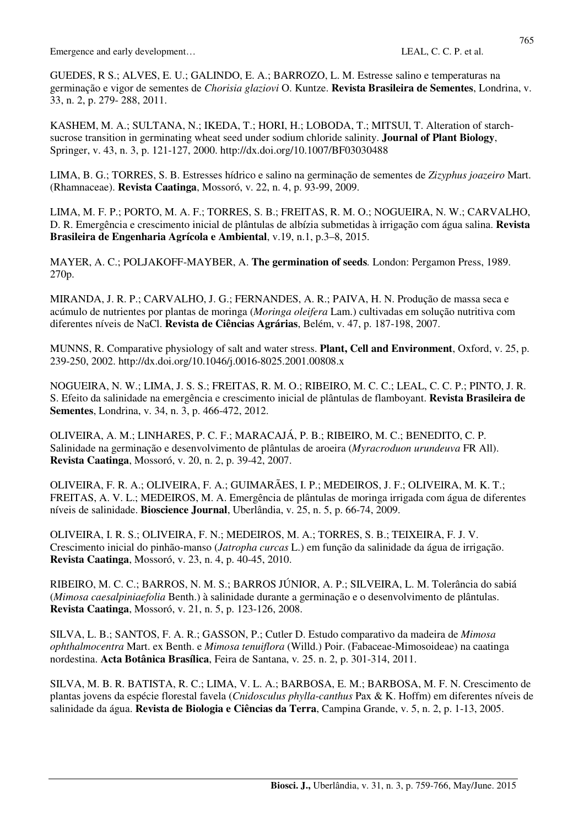Emergence and early development…  $LEAL$ , C. C. P. et al.

GUEDES, R S.; ALVES, E. U.; GALINDO, E. A.; BARROZO, L. M. Estresse salino e temperaturas na germinação e vigor de sementes de *Chorisia glaziovi* O. Kuntze. **Revista Brasileira de Sementes**, Londrina, v. 33, n. 2, p. 279- 288, 2011.

KASHEM, M. A.; SULTANA, N.; IKEDA, T.; HORI, H.; LOBODA, T.; MITSUI, T. Alteration of starchsucrose transition in germinating wheat seed under sodium chloride salinity. **Journal of Plant Biology**, Springer, v. 43, n. 3, p. 121-127, 2000. http://dx.doi.org/10.1007/BF03030488

LIMA, B. G.; TORRES, S. B. Estresses hídrico e salino na germinação de sementes de *Zizyphus joazeiro* Mart. (Rhamnaceae). **Revista Caatinga**, Mossoró, v. 22, n. 4, p. 93-99, 2009.

LIMA, M. F. P.; PORTO, M. A. F.; TORRES, S. B.; FREITAS, R. M. O.; NOGUEIRA, N. W.; CARVALHO, D. R. Emergência e crescimento inicial de plântulas de albízia submetidas à irrigação com água salina. **Revista Brasileira de Engenharia Agrícola e Ambiental**, v.19, n.1, p.3–8, 2015.

MAYER, A. C.; POLJAKOFF-MAYBER, A. **The germination of seeds***.* London: Pergamon Press, 1989. 270p.

MIRANDA, J. R. P.; CARVALHO, J. G.; FERNANDES, A. R.; PAIVA, H. N. Produção de massa seca e acúmulo de nutrientes por plantas de moringa (*Moringa oleifera* Lam.) cultivadas em solução nutritiva com diferentes níveis de NaCl. **Revista de Ciências Agrárias**, Belém, v. 47, p. 187-198, 2007.

MUNNS, R. Comparative physiology of salt and water stress. **Plant, Cell and Environment**, Oxford, v. 25, p. 239-250, 2002. http://dx.doi.org/10.1046/j.0016-8025.2001.00808.x

NOGUEIRA, N. W.; LIMA, J. S. S.; FREITAS, R. M. O.; RIBEIRO, M. C. C.; LEAL, C. C. P.; PINTO, J. R. S. Efeito da salinidade na emergência e crescimento inicial de plântulas de flamboyant. **Revista Brasileira de Sementes**, Londrina, v. 34, n. 3, p. 466-472, 2012.

OLIVEIRA, A. M.; LINHARES, P. C. F.; MARACAJÁ, P. B.; RIBEIRO, M. C.; BENEDITO, C. P. Salinidade na germinação e desenvolvimento de plântulas de aroeira (*Myracroduon urundeuva* FR All). **Revista Caatinga**, Mossoró, v. 20, n. 2, p. 39-42, 2007.

OLIVEIRA, F. R. A.; OLIVEIRA, F. A.; GUIMARÃES, I. P.; MEDEIROS, J. F.; OLIVEIRA, M. K. T.; FREITAS, A. V. L.; MEDEIROS, M. A. Emergência de plântulas de moringa irrigada com água de diferentes níveis de salinidade. **Bioscience Journal**, Uberlândia, v. 25, n. 5, p. 66-74, 2009.

OLIVEIRA, I. R. S.; OLIVEIRA, F. N.; MEDEIROS, M. A.; TORRES, S. B.; TEIXEIRA, F. J. V. Crescimento inicial do pinhão-manso (*Jatropha curcas* L.) em função da salinidade da água de irrigação. **Revista Caatinga**, Mossoró, v. 23, n. 4, p. 40-45, 2010.

RIBEIRO, M. C. C.; BARROS, N. M. S.; BARROS JÚNIOR, A. P.; SILVEIRA, L. M. Tolerância do sabiá (*Mimosa caesalpiniaefolia* Benth.) à salinidade durante a germinação e o desenvolvimento de plântulas. **Revista Caatinga**, Mossoró, v. 21, n. 5, p. 123-126, 2008.

SILVA, L. B.; SANTOS, F. A. R.; GASSON, P.; Cutler D. Estudo comparativo da madeira de *Mimosa ophthalmocentra* Mart. ex Benth. e *Mimosa tenuiflora* (Willd.) Poir. (Fabaceae-Mimosoideae) na caatinga nordestina. **Acta Botânica Brasílica**, Feira de Santana, v*.* 25. n. 2, p. 301-314, 2011.

SILVA, M. B. R. BATISTA, R. C.; LIMA, V. L. A.; BARBOSA, E. M.; BARBOSA, M. F. N. Crescimento de plantas jovens da espécie florestal favela (*Cnidosculus phylla*-*canthus* Pax & K. Hoffm) em diferentes níveis de salinidade da água. **Revista de Biologia e Ciências da Terra**, Campina Grande, v. 5, n. 2, p. 1-13, 2005.